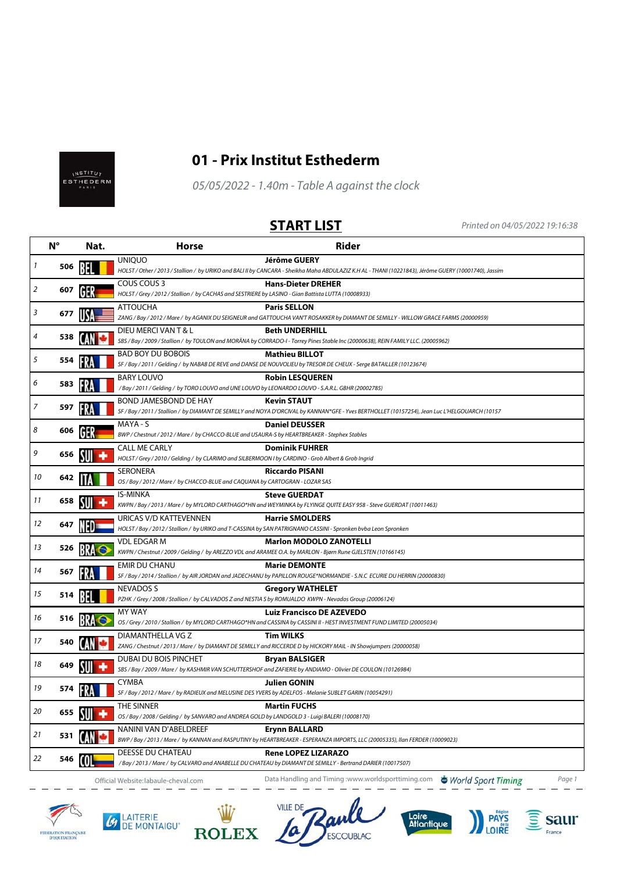



## **01 - Prix Institut Esthederm**

05/05/2022 - 1.40m - Table A against the clock

**START LIST** Printed on 04/05/2022 19:16:38

|                | $N^{\circ}$ | Nat. | <b>Horse</b>                                                                                                               | <b>Rider</b>                                                                                                                                                                 |
|----------------|-------------|------|----------------------------------------------------------------------------------------------------------------------------|------------------------------------------------------------------------------------------------------------------------------------------------------------------------------|
| $\mathbf{1}$   | 506         |      | <b>UNIOUO</b>                                                                                                              | <b>Jérôme GUERY</b><br>HOLST / Other / 2013 / Stallion / by URIKO and BALI II by CANCARA - Sheikha Maha ABDULAZIZ K.H AL - THANI (10221843), Jérôme GUERY (10001740), Jassim |
| $\overline{2}$ | 607         | IH.  | COUS COUS 3<br>HOLST / Grey / 2012 / Stallion / by CACHAS and SESTRIERE by LASINO - Gian Battista LUTTA (10008933)         | <b>Hans-Dieter DREHER</b>                                                                                                                                                    |
| 3              | 677         |      | <b>ATTOUCHA</b>                                                                                                            | <b>Paris SELLON</b><br>ZANG / Bay / 2012 / Mare / by AGANIX DU SEIGNEUR and GATTOUCHA VAN'T ROSAKKER by DIAMANT DE SEMILLY - WILLOW GRACE FARMS (20000959)                   |
| 4              | 538         |      | DIEU MERCI VAN T & L                                                                                                       | <b>Beth UNDERHILL</b><br>SBS / Bay / 2009 / Stallion / by TOULON and MORÄNA by CORRADO-I - Torrey Pines Stable Inc (20000638), REIN FAMILY LLC. (20005962)                   |
| 5              | 554         |      | <b>BAD BOY DU BOBOIS</b>                                                                                                   | <b>Mathieu BILLOT</b><br>SF / Bay / 2011 / Gelding / by NABAB DE REVE and DANSE DE NOUVOLIEU by TRESOR DE CHEUX - Serge BATAILLER (10123674)                                 |
| 6              | 583         |      | <b>BARY LOUVO</b><br>/Bay / 2011 / Gelding / by TORO LOUVO and UNE LOUVO by LEONARDO LOUVO - S.A.R.L. GBHR (20002785)      | <b>Robin LESQUEREN</b>                                                                                                                                                       |
| $\overline{7}$ | 597         |      | BOND JAMESBOND DE HAY                                                                                                      | <b>Kevin STAUT</b><br>SF / Bay / 2011 / Stallion / by DIAMANT DE SEMILLY and NOYA D'ORCIVAL by KANNAN*GFE - Yves BERTHOLLET (10157254), Jean Luc L'HELGOUARCH (10157         |
| 8              | 606         |      | MAYA - S<br>BWP / Chestnut / 2012 / Mare / by CHACCO-BLUE and USAURA-S by HEARTBREAKER - Stephex Stables                   | <b>Daniel DEUSSER</b>                                                                                                                                                        |
| 9              | 656         |      | <b>CALL ME CARLY</b><br>HOLST / Grey / 2010 / Gelding / by CLARIMO and SILBERMOON I by CARDINO - Grob Albert & Grob Ingrid | <b>Dominik FUHRER</b>                                                                                                                                                        |
| 10             | 642         |      | SERONERA<br>OS / Bay / 2012 / Mare / by CHACCO-BLUE and CAQUANA by CARTOGRAN - LOZAR SAS                                   | <b>Riccardo PISANI</b>                                                                                                                                                       |
| 11             | 658         |      | <b>IS-MINKA</b>                                                                                                            | <b>Steve GUERDAT</b><br>KWPN / Bay / 2013 / Mare / by MYLORD CARTHAGO*HN and WEYMINKA by FLYINGE QUITE EASY 958 - Steve GUERDAT (10011463)                                   |
| 12             | 647         |      | URICAS V/D KATTEVENNEN                                                                                                     | <b>Harrie SMOLDERS</b><br>HOLST / Bay / 2012 / Stallion / by URIKO and T-CASSINA by SAN PATRIGNANO CASSINI - Spronken bvba Leon Spronken                                     |
| 13             | 526         |      | <b>VDL EDGAR M</b>                                                                                                         | <b>Marlon MODOLO ZANOTELLI</b><br>KWPN / Chestnut / 2009 / Gelding / by AREZZO VDL and ARAMEE O.A. by MARLON - Bjørn Rune GJELSTEN (10166145)                                |
| 14             | 567         |      | <b>EMIR DU CHANU</b>                                                                                                       | <b>Marie DEMONTE</b><br>SF / Bay / 2014 / Stallion / by AIR JORDAN and JADECHANU by PAPILLON ROUGE*NORMANDIE - S.N.C ECURIE DU HERRIN (20000830)                             |
| 15             | 514         |      | <b>NEVADOS S</b><br>PZHK / Grey / 2008 / Stallion / by CALVADOS Z and NESTIA S by ROMUALDO KWPN - Nevados Group (20006124) | <b>Gregory WATHELET</b>                                                                                                                                                      |
| 16             | 516         |      | <b>MY WAY</b>                                                                                                              | <b>Luiz Francisco DE AZEVEDO</b><br>OS / Grey / 2010 / Stallion / by MYLORD CARTHAGO*HN and CASSINA by CASSINI II - HEST INVESTMENT FUND LIMITED (20005034)                  |
| 17             | 540         |      | DIAMANTHELLA VG Z                                                                                                          | <b>Tim WILKS</b><br>ZANG / Chestnut / 2013 / Mare / by DIAMANT DE SEMILLY and RICCERDE D by HICKORY MAIL - IN Showjumpers (20000058)                                         |
| 18             | 649         |      | DUBAI DU BOIS PINCHET                                                                                                      | <b>Bryan BALSIGER</b><br>SBS / Bay / 2009 / Mare / by KASHMIR VAN SCHUTTERSHOF and ZAFIERIE by ANDIAMO - Olivier DE COULON (10126984)                                        |
| 19             | 574         |      | <b>CYMBA</b><br>SF / Bay / 2012 / Mare / by RADIEUX and MELUSINE DES YVERS by ADELFOS - Melanie SUBLET GARIN (10054291)    | <b>Julien GONIN</b>                                                                                                                                                          |
| 20             | 655         |      | <b>THE SINNER</b><br>OS / Bay / 2008 / Gelding / by SANVARO and ANDREA GOLD by LANDGOLD 3 - Luigi BALERI (10008170)        | <b>Martin FUCHS</b>                                                                                                                                                          |
| 21             | 531         |      | NANINI VAN D'ABELDREEF                                                                                                     | <b>Erynn BALLARD</b><br>BWP / Bay / 2013 / Mare / by KANNAN and RASPUTINY by HEARTBREAKER - ESPERANZA IMPORTS, LLC (20005335), Ilan FERDER (10009023)                        |
| 22             | 546         |      | <b>DEESSE DU CHATEAU</b>                                                                                                   | <b>Rene LOPEZ LIZARAZO</b><br>/Bay / 2013 / Mare / by CALVARO and ANABELLE DU CHATEAU by DIAMANT DE SEMILLY - Bertrand DARIER (10017507)                                     |

Official Website:labaule-cheval.com Data Handling and Timing :www.worldsporttiming.com Page 1